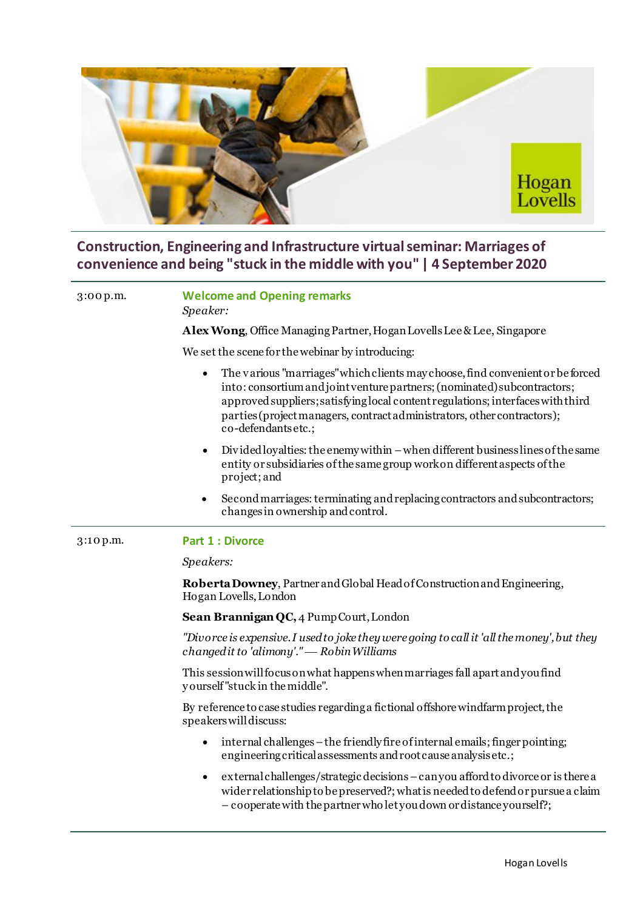

## **Construction, Engineering and Infrastructure virtual seminar: Marriages of convenience and being "stuck in the middle with you" | 4 September 2020**

## 3:00 p.m. **Welcome and Opening remarks**

*Speaker:* 

**Alex Wong**, Office Managing Partner, Hogan Lovells Lee & Lee, Singapore

We set the scene for the webinar by introducing:

- The various "marriages" which clients may choose, find convenient or be forced into: consortium and joint venture partners; (nominated) subcontractors; approved suppliers; satisfying local content regulations; interfaces with third parties (project managers, contract administrators, other contractors); co-defendants etc.;
- Divided loyalties: the enemy within –when different business lines of the same entity or subsidiaries of the same group work on different aspects of the project; and
- Second marriages: terminating and replacing contractors and subcontractors; changes in ownership and control.

## 3:10 p.m. **Part 1 : Divorce**

*Speakers:*

**Roberta Downey**, Partner and Global Head of Construction and Engineering, Hogan Lovells, London

**Sean Brannigan QC,** 4 Pump Court, London

*"Divorce is expensive. I used to joke they were going to call it 'all the money', but they changed it to 'alimony'." Robin Williams*

This session will focus on what happens when marriages fall apart and you find y ourself "stuck in the middle".

By reference to case studies regarding a fictional offshore windfarm project, the speakers will discuss:

- internal challenges the friendly fire of internal emails; finger pointing; engineering critical assessments and root cause analysis etc.;
- external challenges/strategic decisions –can you afford to divorce or is there a wider relationship to be preserved?; what is needed to defend or pursue a claim – cooperate with the partner who let you down or distance yourself?;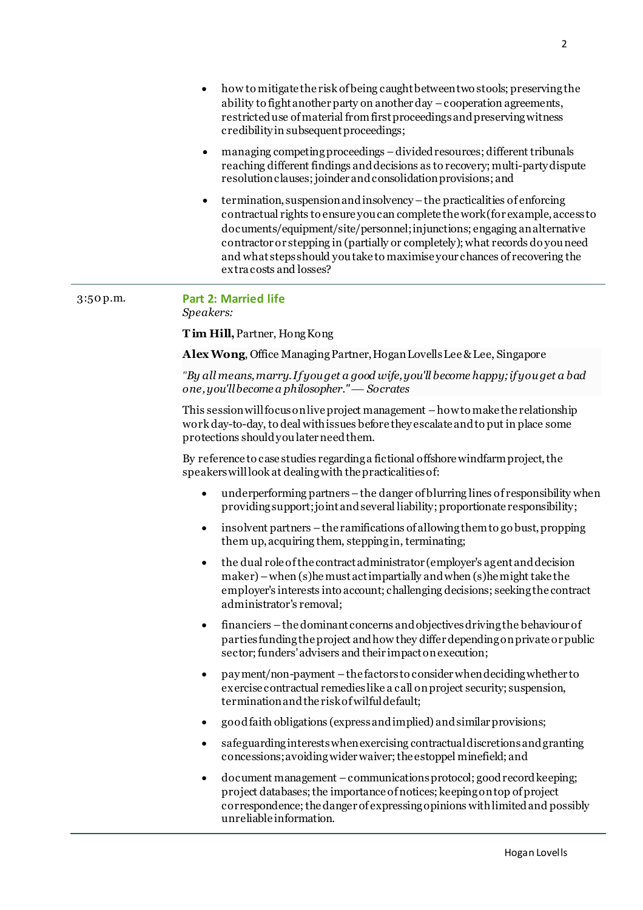- how to mitigate the risk of being caught between two stools; preserving the ability to fight another party on another day –cooperation agreements, restricted use of material from first proceedings and preserving witness credibility in subsequent proceedings;
- managing competing proceedings –divided resources; different tribunals reaching different findings and decisions as to recovery; multi-party dispute resolution clauses; joinder and consolidation provisions; and
- termination, suspension and insolvency –the practicalities of enforcing contractual rights to ensure you can complete the work (for example, access to documents/equipment/site/personnel; injunctions; engaging an alternative contractor or stepping in (partially or completely); what records do you need and what steps should you take to maximise your chances of recovering the extra costs and losses?

## 3:50 p.m. **Part 2: Married life** *Speakers:*

**T im Hill,**Partner, Hong Kong

**Alex Wong**, Office Managing Partner, Hogan Lovells Lee & Lee, Singapore

*"By all means, marry. If you get a good wife, you'll become happy; if you get a bad one,you'll become a philosopher." Socrates*

This session will focus on live project management –how to make the relationship work day-to-day, to deal with issues before they escalate and to put in place some protections should you later need them.

By reference to case studies regarding a fictional offshore windfarm project, the speakers will look at dealing with the practicalities of:

- underperforming partners the danger of blurring lines of responsibility when providing support; joint and several liability; proportionate responsibility;
- $\bullet$  insolvent partners the ramifications of allowing them to go bust, propping them up, acquiring them, stepping in, terminating;
- the dual role of the contract administrator (employer's agent and decision maker) –when (s)he must act impartially and when (s)he might take the employer's interests into account; challenging decisions; seeking the contract administrator's removal;
- financiers –the dominant concerns and objectives driving the behaviour of parties funding the project and how they differ depending on private or public sector; funders' advisers and their impact on execution;
- pay ment/non-payment –the factors to consider when deciding whether to exercise contractual remedies like a call on project security; suspension, termination and the risk of wilful default;
- good faith obligations (express and implied) and similar provisions;
- safeguarding interests when exercising contractual discretions and granting concessions; avoiding wider waiver; the estoppel minefield; and
- document management –communications protocol; good record keeping; project databases; the importance of notices; keeping on top of project correspondence; the danger of expressing opinions with limited and possibly unreliable information.